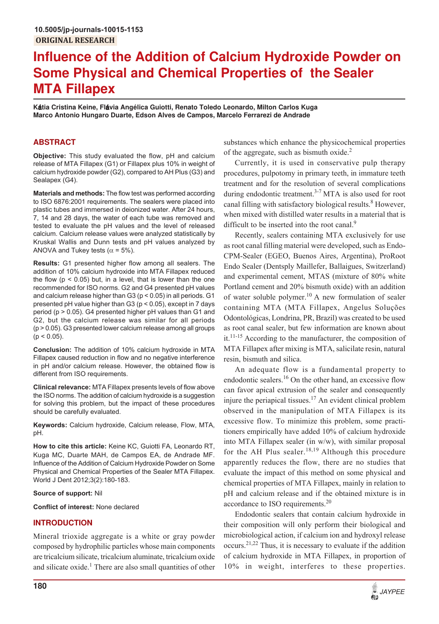# **Influence of the Addition of Calcium Hydroxide Powder on Some Physical and Chemical Properties of the Sealer MTA Fillapex**

**K**<**tia Cristina Keine, Fl**<**via Angélica Guiotti, Renato Toledo Leonardo, Milton Carlos Kuga Marco Antonio Hungaro Duarte, Edson Alves de Campos, Marcelo Ferrarezi de Andrade**

# **ABSTRACT**

**Objective:** This study evaluated the flow, pH and calcium release of MTA Fillapex (G1) or Fillapex plus 10% in weight of calcium hydroxide powder (G2), compared to AH Plus (G3) and Sealapex (G4).

**Materials and methods:** The flow test was performed according to ISO 6876:2001 requirements. The sealers were placed into plastic tubes and immersed in deionized water. After 24 hours, 7, 14 and 28 days, the water of each tube was removed and tested to evaluate the pH values and the level of released calcium. Calcium release values were analyzed statistically by Kruskal Wallis and Dunn tests and pH values analyzed by ANOVA and Tukey tests ( $\alpha$  = 5%).

**Results:** G1 presented higher flow among all sealers. The addition of 10% calcium hydroxide into MTA Fillapex reduced the flow  $(p < 0.05)$  but, in a level, that is lower than the one recommended for ISO norms. G2 and G4 presented pH values and calcium release higher than G3 (p < 0.05) in all periods. G1 presented pH value higher than G3 (p < 0.05), except in 7 days period (p > 0.05). G4 presented higher pH values than G1 and G2, but the calcium release was similar for all periods (p > 0.05). G3 presented lower calcium release among all groups  $(p < 0.05)$ .

**Conclusion:** The addition of 10% calcium hydroxide in MTA Fillapex caused reduction in flow and no negative interference in pH and/or calcium release. However, the obtained flow is different from ISO requirements.

**Clinical relevance:** MTA Fillapex presents levels of flow above the ISO norms. The addition of calcium hydroxide is a suggestion for solving this problem, but the impact of these procedures should be carefully evaluated.

**Keywords:** Calcium hydroxide, Calcium release, Flow, MTA, pH.

**How to cite this article:** Keine KC, Guiotti FA, Leonardo RT, Kuga MC, Duarte MAH, de Campos EA, de Andrade MF. Influence of the Addition of Calcium Hydroxide Powder on Some Physical and Chemical Properties of the Sealer MTA Fillapex. World J Dent 2012;3(2):180-183.

# **Source of support:** Nil

**Conflict of interest:** None declared

# **INTRODUCTION**

Mineral trioxide aggregate is a white or gray powder composed by hydrophilic particles whose main components are tricalcium silicate, tricalcium aluminate, tricalcium oxide and silicate oxide.<sup>1</sup> There are also small quantities of other

substances which enhance the physicochemical properties of the aggregate, such as bismuth oxide.<sup>2</sup>

Currently, it is used in conservative pulp therapy procedures, pulpotomy in primary teeth, in immature teeth treatment and for the resolution of several complications during endodontic treatment. $3-7$  MTA is also used for root canal filling with satisfactory biological results.<sup>8</sup> However, when mixed with distilled water results in a material that is difficult to be inserted into the root canal.<sup>9</sup>

Recently, sealers containing MTA exclusively for use as root canal filling material were developed, such as Endo-CPM-Sealer (EGEO, Buenos Aires, Argentina), ProRoot Endo Sealer (Dentsply Maillefer, Ballaigues, Switzerland) and experimental cement, MTAS (mixture of 80% white Portland cement and 20% bismuth oxide) with an addition of water soluble polymer.<sup>10</sup> A new formulation of sealer containing MTA (MTA Fillapex, Angelus Soluções Odontológicas, Londrina, PR, Brazil) was created to be used as root canal sealer, but few information are known about it.11-15 According to the manufacturer, the composition of MTA Fillapex after mixing is MTA, salicilate resin, natural resin, bismuth and silica.

An adequate flow is a fundamental property to endodontic sealers.<sup>16</sup> On the other hand, an excessive flow can favor apical extrusion of the sealer and consequently injure the periapical tissues.<sup>17</sup> An evident clinical problem observed in the manipulation of MTA Fillapex is its excessive flow. To minimize this problem, some practitioners empirically have added 10% of calcium hydroxide into MTA Fillapex sealer (in w/w), with similar proposal for the AH Plus sealer.<sup>18,19</sup> Although this procedure apparently reduces the flow, there are no studies that evaluate the impact of this method on some physical and chemical properties of MTA Fillapex, mainly in relation to pH and calcium release and if the obtained mixture is in accordance to ISO requirements.<sup>20</sup>

Endodontic sealers that contain calcium hydroxide in their composition will only perform their biological and microbiological action, if calcium ion and hydroxyl release  $occurs.<sup>21,22</sup> Thus, it is necessary to evaluate if the addition$ of calcium hydroxide in MTA Fillapex, in proportion of 10% in weight, interferes to these properties.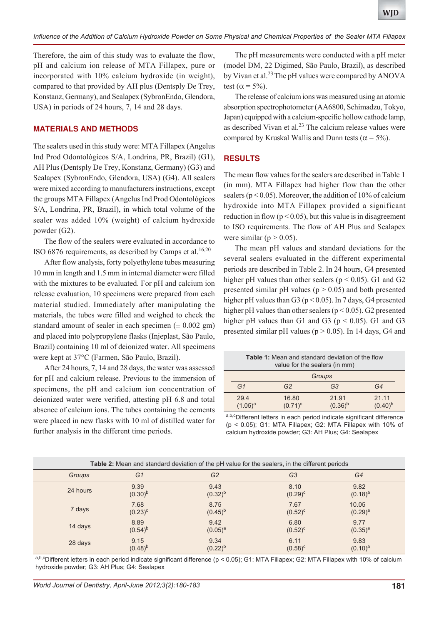Therefore, the aim of this study was to evaluate the flow, pH and calcium ion release of MTA Fillapex, pure or incorporated with 10% calcium hydroxide (in weight), compared to that provided by AH plus (Dentsply De Trey, Konstanz, Germany), and Sealapex (SybronEndo, Glendora, USA) in periods of 24 hours, 7, 14 and 28 days.

## **MATERIALS AND METHODS**

The sealers used in this study were: MTA Fillapex (Angelus Ind Prod Odontológicos S/A, Londrina, PR, Brazil) (G1), AH Plus (Dentsply De Trey, Konstanz, Germany) (G3) and Sealapex (SybronEndo, Glendora, USA) (G4). All sealers were mixed according to manufacturers instructions, except the groups MTA Fillapex (Angelus Ind Prod Odontológicos S/A, Londrina, PR, Brazil), in which total volume of the sealer was added 10% (weight) of calcium hydroxide powder (G2).

The flow of the sealers were evaluated in accordance to ISO 6876 requirements, as described by Camps et al.<sup>16,20</sup>

After flow analysis, forty polyethylene tubes measuring 10 mm in length and 1.5 mm in internal diameter were filled with the mixtures to be evaluated. For pH and calcium ion release evaluation, 10 specimens were prepared from each material studied. Immediately after manipulating the materials, the tubes were filled and weighed to check the standard amount of sealer in each specimen  $(\pm 0.002 \text{ gm})$ and placed into polypropylene flasks (Injeplast, São Paulo, Brazil) containing 10 ml of deionized water. All specimens were kept at 37°C (Farmen, São Paulo, Brazil).

After 24 hours, 7, 14 and 28 days, the water was assessed for pH and calcium release. Previous to the immersion of specimens, the pH and calcium ion concentration of deionized water were verified, attesting pH 6.8 and total absence of calcium ions. The tubes containing the cements were placed in new flasks with 10 ml of distilled water for further analysis in the different time periods.

The pH measurements were conducted with a pH meter (model DM, 22 Digimed, São Paulo, Brazil), as described by Vivan et al.<sup>23</sup> The pH values were compared by ANOVA test ( $\alpha$  = 5%).

The release of calcium ions was measured using an atomic absorption spectrophotometer (AA6800, Schimadzu, Tokyo, Japan) equipped with a calcium-specific hollow cathode lamp, as described Vivan et al. $^{23}$  The calcium release values were compared by Kruskal Wallis and Dunn tests ( $\alpha$  = 5%).

# **RESULTS**

The mean flow values for the sealers are described in Table 1 (in mm). MTA Fillapex had higher flow than the other sealers ( $p < 0.05$ ). Moreover, the addition of 10% of calcium hydroxide into MTA Fillapex provided a significant reduction in flow ( $p < 0.05$ ), but this value is in disagreement to ISO requirements. The flow of AH Plus and Sealapex were similar ( $p > 0.05$ ).

The mean pH values and standard deviations for the several sealers evaluated in the different experimental periods are described in Table 2. In 24 hours, G4 presented higher pH values than other sealers ( $p < 0.05$ ). G1 and G2 presented similar pH values ( $p > 0.05$ ) and both presented higher pH values than  $G_3$  (p < 0.05). In 7 days, G4 presented higher pH values than other sealers ( $p < 0.05$ ). G2 presented higher pH values than G1 and G3 ( $p < 0.05$ ). G1 and G3 presented similar pH values ( $p > 0.05$ ). In 14 days, G4 and

| <b>Table 1:</b> Mean and standard deviation of the flow<br>value for the sealers (in mm) |                     |                       |                       |  |  |  |
|------------------------------------------------------------------------------------------|---------------------|-----------------------|-----------------------|--|--|--|
| Groups                                                                                   |                     |                       |                       |  |  |  |
| G1                                                                                       | G <sub>2</sub>      | G3                    | G4                    |  |  |  |
| 29.4<br>$(1.05)^{a}$                                                                     | 16.80<br>$(0.71)^c$ | 21.91<br>$(0.36)^{b}$ | 21.11<br>$(0.40)^{b}$ |  |  |  |
|                                                                                          |                     |                       |                       |  |  |  |

a,b,cDifferent letters in each period indicate significant difference (p < 0.05); G1: MTA Fillapex; G2: MTA Fillapex with 10% of calcium hydroxide powder; G3: AH Plus; G4: Sealapex

| <b>Table 2:</b> Mean and standard deviation of the pH value for the sealers, in the different periods |                      |                      |                      |                      |  |  |  |  |
|-------------------------------------------------------------------------------------------------------|----------------------|----------------------|----------------------|----------------------|--|--|--|--|
| Groups                                                                                                | G1                   | G <sub>2</sub>       | G <sub>3</sub>       | G4                   |  |  |  |  |
| 24 hours                                                                                              | 9.39<br>$(0.30)^{b}$ | 9.43<br>$(0.32)^{b}$ | 8.10<br>$(0.29)^{c}$ | 9.82<br>$(0.18)^a$   |  |  |  |  |
| 7 days                                                                                                | 7.68<br>$(0.23)^{c}$ | 8.75<br>$(0.45)^{b}$ | 7.67<br>$(0.52)^{c}$ | 10.05<br>$(0.29)^a$  |  |  |  |  |
| 14 days                                                                                               | 8.89<br>$(0.54)^{b}$ | 9.42<br>$(0.05)^a$   | 6.80<br>$(0.52)^{c}$ | 9.77<br>$(0.35)^{a}$ |  |  |  |  |
| 28 days                                                                                               | 9.15<br>$(0.48)^{b}$ | 9.34<br>$(0.22)^{b}$ | 6.11<br>$(0.58)^c$   | 9.83<br>$(0.10)^a$   |  |  |  |  |

a,b,cDifferent letters in each period indicate significant difference (p < 0.05); G1: MTA Fillapex; G2: MTA Fillapex with 10% of calcium hydroxide powder; G3: AH Plus; G4: Sealapex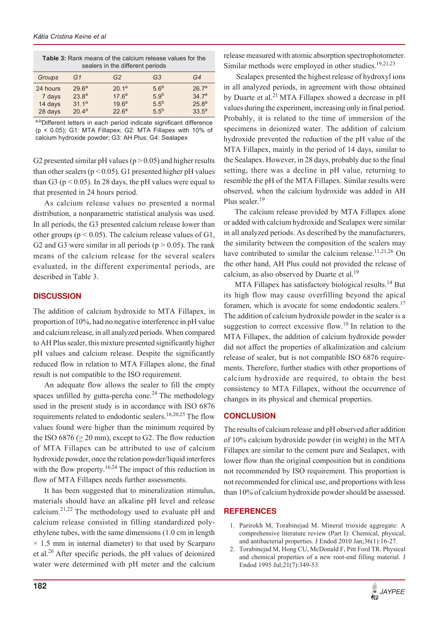| <b>Table 3:</b> Rank means of the calcium release values for the<br>sealers in the different periods |                                                                                  |                                                                                  |                                                                              |                                                                  |  |  |  |  |
|------------------------------------------------------------------------------------------------------|----------------------------------------------------------------------------------|----------------------------------------------------------------------------------|------------------------------------------------------------------------------|------------------------------------------------------------------|--|--|--|--|
| Groups                                                                                               | G1                                                                               | G <sub>2</sub>                                                                   | G <sub>3</sub>                                                               | G4                                                               |  |  |  |  |
| 24 hours<br>7 days<br>14 days<br>28 days                                                             | 29.6 <sup>a</sup><br>23.8 <sup>a</sup><br>31.1 <sup>a</sup><br>20.4 <sup>a</sup> | 20.1 <sup>a</sup><br>17.6 <sup>a</sup><br>19.6 <sup>a</sup><br>22.6 <sup>a</sup> | 5.6 <sup>b</sup><br>5.9 <sup>b</sup><br>5.5 <sup>b</sup><br>5.5 <sup>b</sup> | 26.7 <sup>a</sup><br>34.7 <sup>a</sup><br>$25.8^{a}$<br>$33.5^a$ |  |  |  |  |

a,bDifferent letters in each period indicate significant difference (p < 0.05); G1: MTA Fillapex; G2: MTA Fillapex with 10% of calcium hydroxide powder; G3: AH Plus; G4: Sealapex

G2 presented similar pH values ( $p > 0.05$ ) and higher results than other sealers ( $p < 0.05$ ). G1 presented higher pH values than G3 ( $p < 0.05$ ). In 28 days, the pH values were equal to that presented in 24 hours period.

As calcium release values no presented a normal distribution, a nonparametric statistical analysis was used. In all periods, the G3 presented calcium release lower than other groups ( $p < 0.05$ ). The calcium release values of G1, G2 and G3 were similar in all periods ( $p > 0.05$ ). The rank means of the calcium release for the several sealers evaluated, in the different experimental periods, are described in Table 3.

## **DISCUSSION**

The addition of calcium hydroxide to MTA Fillapex, in proportion of 10%, had no negative interference in pH value and calcium release, in all analyzed periods. When compared to AH Plus sealer, this mixture presented significantly higher pH values and calcium release. Despite the significantly reduced flow in relation to MTA Fillapex alone, the final result is not compatible to the ISO requirement.

An adequate flow allows the sealer to fill the empty spaces unfilled by gutta-percha cone.<sup>24</sup> The methodology used in the present study is in accordance with ISO 6876 requirements related to endodontic sealers.<sup>16,20,25</sup> The flow values found were higher than the minimum required by the ISO 6876 ( $\geq$  20 mm), except to G2. The flow reduction of MTA Fillapex can be attributed to use of calcium hydroxide powder, once the relation powder/liquid interferes with the flow property.<sup>16,24</sup> The impact of this reduction in flow of MTA Fillapex needs further assessments.

It has been suggested that to mineralization stimulus, materials should have an alkaline pH level and release calcium.21,22 The methodology used to evaluate pH and calcium release consisted in filling standardized polyethylene tubes, with the same dimensions (1.0 cm in length  $\times$  1.5 mm in internal diameter) to that used by Scarparo et al.26 After specific periods, the pH values of deionized water were determined with pH meter and the calcium release measured with atomic absorption spectrophotometer. Similar methods were employed in other studies.<sup>19,21,23</sup>

 Sealapex presented the highest release of hydroxyl ions in all analyzed periods, in agreement with those obtained by Duarte et al.<sup>21</sup> MTA Fillapex showed a decrease in pH values during the experiment, increasing only in final period. Probably, it is related to the time of immersion of the specimens in deionized water. The addition of calcium hydroxide prevented the reduction of the pH value of the MTA Fillapex, mainly in the period of 14 days, similar to the Sealapex. However, in 28 days, probably due to the final setting, there was a decline in pH value, returning to resemble the pH of the MTA Fillapex. Similar results were observed, when the calcium hydroxide was added in AH Plus sealer.<sup>19</sup>

The calcium release provided by MTA Fillapex alone or added with calcium hydroxide and Sealapex were similar in all analyzed periods. As described by the manufacturers, the similarity between the composition of the sealers may have contributed to similar the calcium release.<sup>11,21,26</sup> On the other hand, AH Plus could not provided the release of calcium, as also observed by Duarte et al.<sup>19</sup>

MTA Fillapex has satisfactory biological results.<sup>14</sup> But its high flow may cause overfilling beyond the apical foramen, which is avocate for some endodontic sealers.<sup>17</sup> The addition of calcium hydroxide powder in the sealer is a suggestion to correct excessive flow.<sup>19</sup> In relation to the MTA Fillapex, the addition of calcium hydroxide powder did not affect the properties of alkalinization and calcium release of sealer, but is not compatible ISO 6876 requirements. Therefore, further studies with other proportions of calcium hydroxide are required, to obtain the best consistency to MTA Fillapex, without the occurrence of changes in its physical and chemical properties.

# **CONCLUSION**

The results of calcium release and pH observed after addition of 10% calcium hydroxide powder (in weight) in the MTA Fillapex are similar to the cement pure and Sealapex, with lower flow than the original composition but in conditions not recommended by ISO requirement. This proportion is not recommended for clinical use, and proportions with less than 10% of calcium hydroxide powder should be assessed.

# **REFERENCES**

- 1. Parirokh M, Torabinejad M. Mineral trioxide aggregate: A comprehensive literature review (Part I): Chemical, physical, and antibacterial properties. J Endod 2010 Jan;36(1):16-27.
- 2. Torabinejad M, Hong CU, McDonald F, Pitt Ford TR. Physical and chemical properties of a new root-end filling material. J Endod 1995 Jul;21(7):349-53.